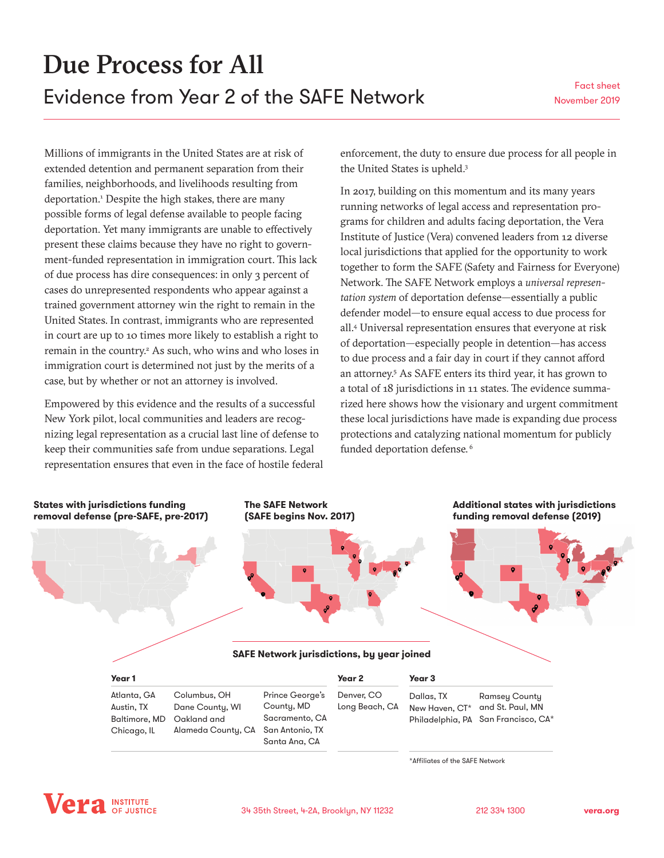<span id="page-0-0"></span>Millions of immigrants in the United States are at risk of extended detention and permanent separation from their families, neighborhoods, and livelihoods resulting from deportation.<sup>1</sup> Despite the high stakes, there are many possible forms of legal defense available to people facing deportation. Yet many immigrants are unable to effectively present these claims because they have no right to government-funded representation in immigration court. This lack of due process has dire consequences: in only 3 percent of cases do unrepresented respondents who appear against a trained government attorney win the right to remain in the United States. In contrast, immigrants who are represented in court are up to 10 times more likely to establish a right to remain in the country.<sup>[2](#page-3-0)</sup> As such, who wins and who loses in immigration court is determined not just by the merits of a case, but by whether or not an attorney is involved.

Empowered by this evidence and the results of a successful New York pilot, local communities and leaders are recognizing legal representation as a crucial last line of defense to keep their communities safe from undue separations. Legal representation ensures that even in the face of hostile federal enforcement, the duty to ensure due process for all people in the United States is upheld.<sup>[3](#page-3-0)</sup>

In 2017, building on this momentum and its many years running networks of legal access and representation programs for children and adults facing deportation, the Vera Institute of Justice (Vera) convened leaders from 12 diverse local jurisdictions that applied for the opportunity to work together to form the SAFE (Safety and Fairness for Everyone) Network. The SAFE Network employs a *universal representation system* of deportation defense—essentially a public defender model—to ensure equal access to due process for all[.4](#page-3-0) Universal representation ensures that everyone at risk of deportation—especially people in detention—has access to due process and a fair day in court if they cannot afford an attorney[.5](#page-3-0) As SAFE enters its third year, it has grown to a total of 18 jurisdictions in 11 states. The evidence summarized here shows how the visionary and urgent commitment these local jurisdictions have made is expanding due process protections and catalyzing national momentum for publicly funded deportation defense.<sup>[6](#page-3-0)</sup>



\*Affiliates of the SAFE Network

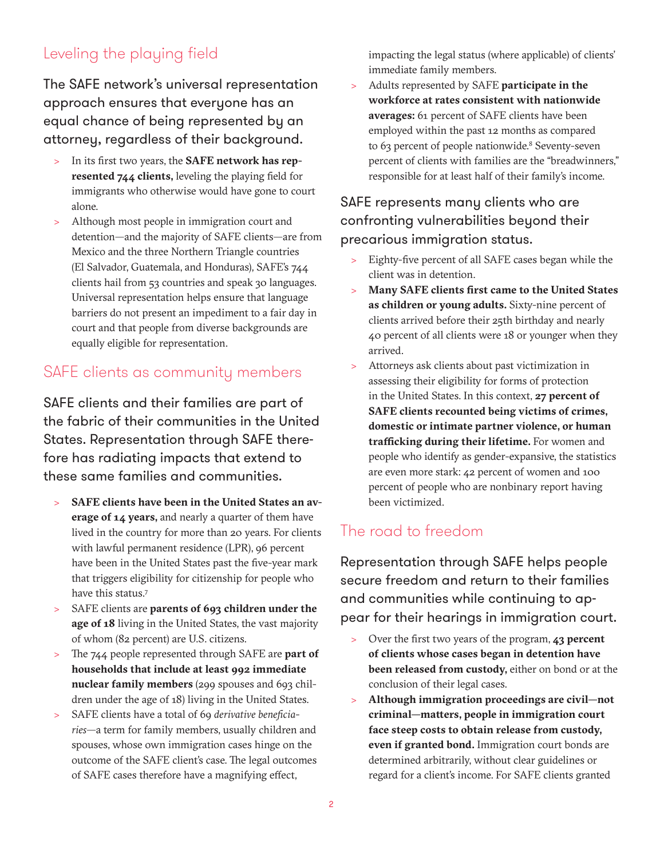# <span id="page-1-0"></span>Leveling the playing field

The SAFE network's universal representation approach ensures that everyone has an equal chance of being represented by an attorney, regardless of their background.

- > In its first two years, the **SAFE network has represented 744 clients,** leveling the playing field for immigrants who otherwise would have gone to court alone.
- > Although most people in immigration court and detention—and the majority of SAFE clients—are from Mexico and the three Northern Triangle countries (El Salvador, Guatemala, and Honduras), SAFE's 744 clients hail from 53 countries and speak 30 languages. Universal representation helps ensure that language barriers do not present an impediment to a fair day in court and that people from diverse backgrounds are equally eligible for representation.

### SAFE clients as community members

SAFE clients and their families are part of the fabric of their communities in the United States. Representation through SAFE therefore has radiating impacts that extend to these same families and communities.

- > **SAFE clients have been in the United States an average of 14 years,** and nearly a quarter of them have lived in the country for more than 20 years. For clients with lawful permanent residence (LPR), 96 percent have been in the United States past the five-year mark that triggers eligibility for citizenship for people who have this status.[7](#page-3-0)
- > SAFE clients are **parents of 693 children under the age of 18** living in the United States, the vast majority of whom (82 percent) are U.S. citizens.
- > The 744 people represented through SAFE are **part of households that include at least 992 immediate nuclear family members** (299 spouses and 693 children under the age of 18) living in the United States.
- > SAFE clients have a total of 69 *derivative beneficiaries*—a term for family members, usually children and spouses, whose own immigration cases hinge on the outcome of the SAFE client's case. The legal outcomes of SAFE cases therefore have a magnifying effect,

impacting the legal status (where applicable) of clients' immediate family members.

> Adults represented by SAFE **participate in the workforce at rates consistent with nationwide averages:** 61 percent of SAFE clients have been employed within the past 12 months as compared to 63 percent of people nationwide.<sup>[8](#page-3-0)</sup> Seventy-seven percent of clients with families are the "breadwinners," responsible for at least half of their family's income.

#### SAFE represents many clients who are confronting vulnerabilities beyond their precarious immigration status.

- > Eighty-five percent of all SAFE cases began while the client was in detention.
- > **Many SAFE clients first came to the United States as children or young adults.** Sixty-nine percent of clients arrived before their 25th birthday and nearly 40 percent of all clients were 18 or younger when they arrived.
- Attorneys ask clients about past victimization in assessing their eligibility for forms of protection in the United States. In this context, **27 percent of SAFE clients recounted being victims of crimes, domestic or intimate partner violence, or human trafficking during their lifetime.** For women and people who identify as gender-expansive, the statistics are even more stark: 42 percent of women and 100 percent of people who are nonbinary report having been victimized.

## The road to freedom

Representation through SAFE helps people secure freedom and return to their families and communities while continuing to appear for their hearings in immigration court.

- > Over the first two years of the program, **43 percent of clients whose cases began in detention have been released from custody,** either on bond or at the conclusion of their legal cases.
- > **Although immigration proceedings are civil—not criminal—matters, people in immigration court face steep costs to obtain release from custody, even if granted bond.** Immigration court bonds are determined arbitrarily, without clear guidelines or regard for a client's income. For SAFE clients granted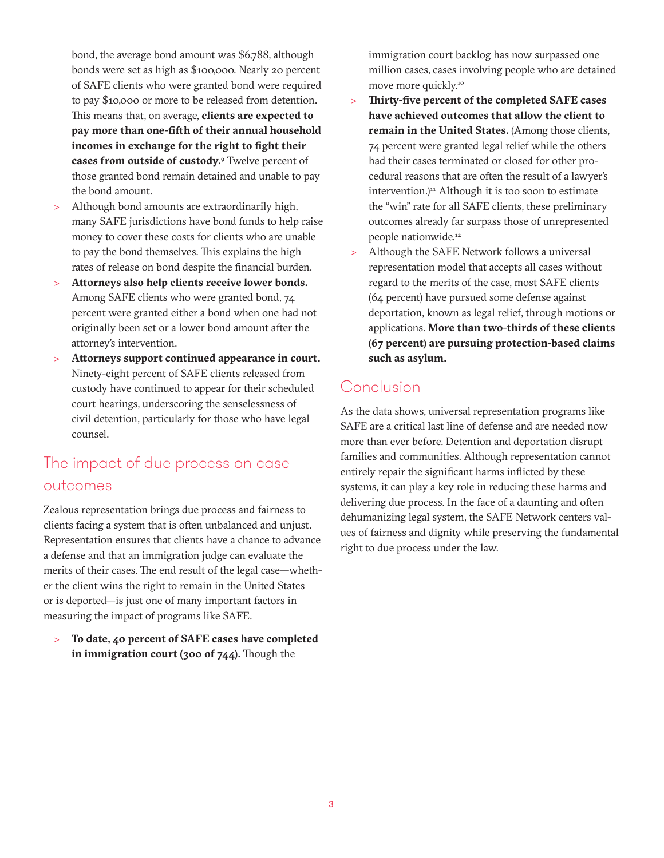<span id="page-2-0"></span>bond, the average bond amount was \$6,788, although bonds were set as high as \$100,000. Nearly 20 percent of SAFE clients who were granted bond were required to pay \$10,000 or more to be released from detention. This means that, on average, **clients are expected to pay more than one-fifth of their annual household incomes in exchange for the right to fight their cases from outside of custody.**[9](#page-3-0) Twelve percent of those granted bond remain detained and unable to pay the bond amount.

- > Although bond amounts are extraordinarily high, many SAFE jurisdictions have bond funds to help raise money to cover these costs for clients who are unable to pay the bond themselves. This explains the high rates of release on bond despite the financial burden.
- > **Attorneys also help clients receive lower bonds.** Among SAFE clients who were granted bond, 74 percent were granted either a bond when one had not originally been set or a lower bond amount after the attorney's intervention.
- > **Attorneys support continued appearance in court.** Ninety-eight percent of SAFE clients released from custody have continued to appear for their scheduled court hearings, underscoring the senselessness of civil detention, particularly for those who have legal counsel.

## The impact of due process on case outcomes

Zealous representation brings due process and fairness to clients facing a system that is often unbalanced and unjust. Representation ensures that clients have a chance to advance a defense and that an immigration judge can evaluate the merits of their cases. The end result of the legal case—whether the client wins the right to remain in the United States or is deported—is just one of many important factors in measuring the impact of programs like SAFE.

To date, 40 percent of SAFE cases have completed **in immigration court (300 of 744).** Though the

immigration court backlog has now surpassed one million cases, cases involving people who are detained move more quickly[.10](#page-3-0)

- > **Thirty-five percent of the completed SAFE cases have achieved outcomes that allow the client to remain in the United States.** (Among those clients, 74 percent were granted legal relief while the others had their cases terminated or closed for other procedural reasons that are often the result of a lawyer's intervention.)<sup>[11](#page-3-0)</sup> Although it is too soon to estimate the "win" rate for all SAFE clients, these preliminary outcomes already far surpass those of unrepresented people nationwide.<sup>[12](#page-3-0)</sup>
- Although the SAFE Network follows a universal representation model that accepts all cases without regard to the merits of the case, most SAFE clients (64 percent) have pursued some defense against deportation, known as legal relief, through motions or applications. **More than two-thirds of these clients (67 percent) are pursuing protection-based claims such as asylum.**

### Conclusion

As the data shows, universal representation programs like SAFE are a critical last line of defense and are needed now more than ever before. Detention and deportation disrupt families and communities. Although representation cannot entirely repair the significant harms inflicted by these systems, it can play a key role in reducing these harms and delivering due process. In the face of a daunting and often dehumanizing legal system, the SAFE Network centers values of fairness and dignity while preserving the fundamental right to due process under the law.